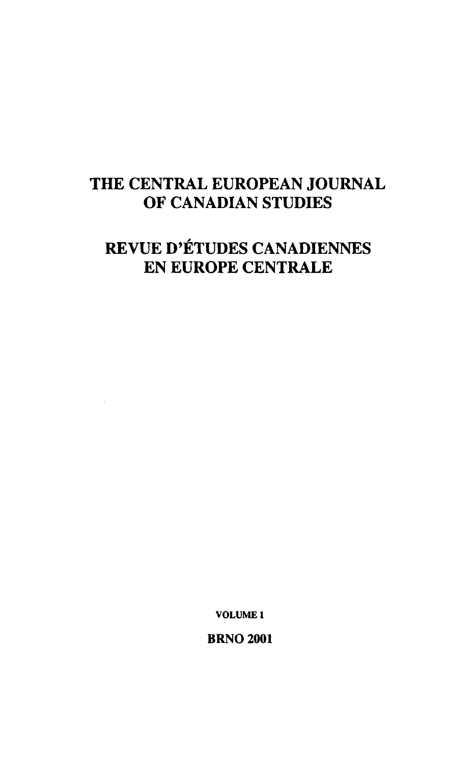## **THE CENTRAL EUROPEAN JOURNAL OF CANADIAN STUDIES**

# **REVUE D'ÉTUDES CANADIENNES EN EUROPE CENTRÁLE**

**VOLUME 1** 

**BRNO 2001**